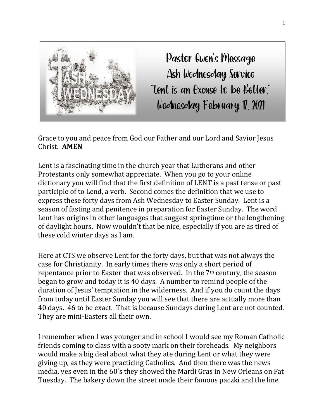

Pastor Gwen's Message Ash Wednesday Service "lent is an Excuse to be Better." Wednesday February 17, 2021

Grace to you and peace from God our Father and our Lord and Savior Jesus Christ. **AMEN**

Lent is a fascinating time in the church year that Lutherans and other Protestants only somewhat appreciate. When you go to your online dictionary you will find that the first definition of LENT is a past tense or past participle of to Lend, a verb. Second comes the definition that we use to express these forty days from Ash Wednesday to Easter Sunday. Lent is a season of fasting and penitence in preparation for Easter Sunday. The word Lent has origins in other languages that suggest springtime or the lengthening of daylight hours. Now wouldn't that be nice, especially if you are as tired of these cold winter days as I am.

Here at CTS we observe Lent for the forty days, but that was not always the case for Christianity. In early times there was only a short period of repentance prior to Easter that was observed. In the 7<sup>th</sup> century, the season began to grow and today it is 40 days. A number to remind people of the duration of Jesus' temptation in the wilderness. And if you do count the days from today until Easter Sunday you will see that there are actually more than 40 days. 46 to be exact. That is because Sundays during Lent are not counted. They are mini-Easters all their own.

I remember when I was younger and in school I would see my Roman Catholic friends coming to class with a sooty mark on their foreheads. My neighbors would make a big deal about what they ate during Lent or what they were giving up, as they were practicing Catholics. And then there was the news media, yes even in the 60's they showed the Mardi Gras in New Orleans on Fat Tuesday. The bakery down the street made their famous paczki and the line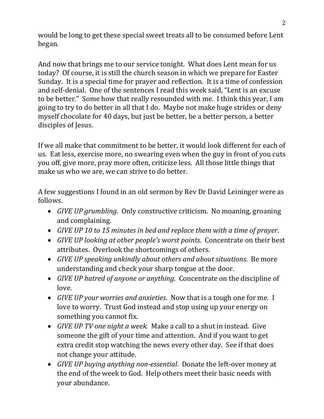would be long to get these special sweet treats all to be consumed before Lent began.

And now that brings me to our service tonight. What does Lent mean for us today? Of course, it is still the church season in which we prepare for Easter Sunday. It is a special time for prayer and reflection. It is a time of confession and self-denial. One of the sentences I read this week said, "Lent is an excuse to be better." Some how that really resounded with me. I think this year, I am going to try to do better in all that I do. Maybe not make huge strides or deny myself chocolate for 40 days, but just be better, be a better person, a better disciples of Jesus.

If we all make that commitment to be better, it would look different for each of us. Eat less, exercise more, no swearing even when the guy in front of you cuts you off, give more, pray more often, criticize less. All those little things that make us who we are, we can strive to do better.

A few suggestions I found in an old sermon by Rev Dr David Leininger were as follows.

- *GIVE UP grumbling*. Only constructive criticism. No moaning, groaning and complaining.
- *GIVE UP 10 to 15 minutes in bed and replace them with a time of prayer*.
- *GIVE UP looking at other people's worst points*. Concentrate on their best attributes. Overlook the shortcomings of others.
- *GIVE UP speaking unkindly about others and about situations*. Be more understanding and check your sharp tongue at the door.
- *GIVE UP hatred of anyone or anything*. Concentrate on the discipline of love.
- *GIVE UP your worries and anxieties*. Now that is a tough one for me. I love to worry. Trust God instead and stop using up your energy on something you cannot fix.
- *GIVE UP TV one night a week.* Make a call to a shut in instead. Give someone the gift of your time and attention. And if you want to get extra credit stop watching the news every other day. See if that does not change your attitude.
- *GIVE UP buying anything non-essential*. Donate the left-over money at the end of the week to God. Help others meet their basic needs with your abundance.